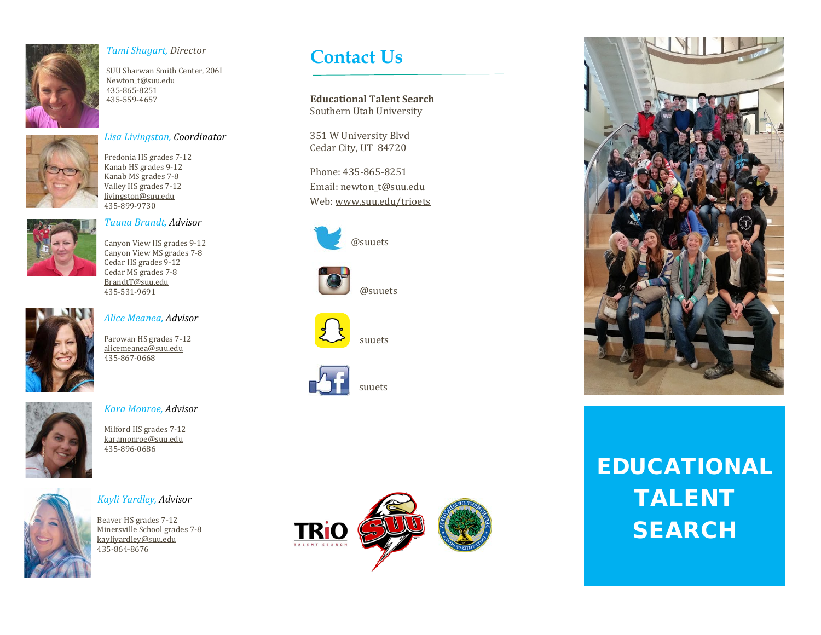

### *Tami Shugart, Director*

SUU Sharwan Smith Center, 206I [Newton\\_t@suu.edu](mailto:Newton_t@suu.edu) 435-865-8251 435-559-4657



#### *Lisa Livingston, Coordinator*

Fredonia HS grades 7-12 Kanab HS grades 9-12 Kanab MS grades 7-8 Valley HS grades 7-12 [livingston@suu.edu](mailto:livingston@suu.edu) 435-899-9730



### *Tauna Brandt, Advisor*

Canyon View HS grades 9-12 Canyon View MS grades 7-8 Cedar HS grades 9-12 Cedar MS grades 7-8 [BrandtT@suu.edu](mailto:BrandtT@suu.edu) 435-531-9691



### *Alice Meanea, Advisor*

Parowan HS grades 7-12 [alicemeanea@suu.edu](mailto:alicemeanea@suu.edu) 435-867-0668



### *Kara Monroe, Advisor*

Milford HS grades 7-12 [karamonroe@suu.edu](mailto:karamonroe@suu.edu) 435-896-0686



### *Kayli Yardley, Advisor*

Beaver HS grades 7-12 Minersville School grades 7-8 [kayliyardley@suu.edu](mailto:kayliyardley@suu.edu) 435-864-8676

## **Contact Us**

**Educational Talent Search** Southern Utah University

351 W University Blvd Cedar City, UT 84720

Phone: 435-865-8251 Email: newton\_t@suu.edu Web[: www.suu.edu/trioets](http://www.suu.edu/trioets)



@suuets





suuets



suuets





# EDUCATIONAL TALENT **SEARCH**